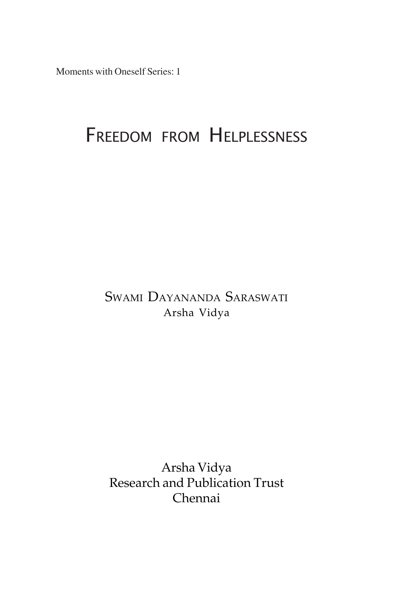Moments with Oneself Series: 1

# FREEDOM FROM HELPLESSNESS

SWAMI DAYANANDA SARASWATI Arsha Vidya

Arsha Vidya Research and Publication Trust Chennai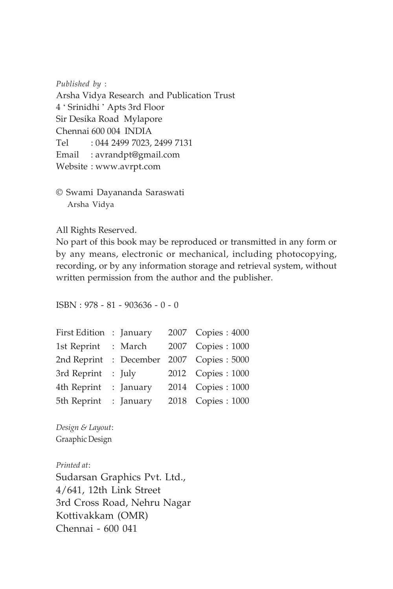*Published by* :

Arsha Vidya Research and Publication Trust 4 ' Srinidhi ' Apts 3rd Floor Sir Desika Road Mylapore Chennai 600 004 INDIA Tel : 044 2499 7023, 2499 7131 Email : avrandpt@gmail.com Website : www.avrpt.com

© Swami Dayananda Saraswati Arsha Vidya

All Rights Reserved.

No part of this book may be reproduced or transmitted in any form or by any means, electronic or mechanical, including photocopying, recording, or by any information storage and retrieval system, without written permission from the author and the publisher.

ISBN : 978 - 81 - 903636 - 0 - 0

| First Edition : January |            | 2007 Copies: 4000 |
|-------------------------|------------|-------------------|
| 1st Reprint             | : March    | 2007 Copies: 1000 |
| 2nd Reprint             | : December | 2007 Copies: 5000 |
| 3rd Reprint             | $:$ July   | 2012 Copies: 1000 |
| 4th Reprint             | : January  | 2014 Copies: 1000 |
| 5th Reprint             | : January  | 2018 Copies: 1000 |

*Design & Layout*: Graaphic Design

*Printed at*: Sudarsan Graphics Pvt. Ltd., 4/641, 12th Link Street 3rd Cross Road, Nehru Nagar Kottivakkam (OMR) Chennai - 600 041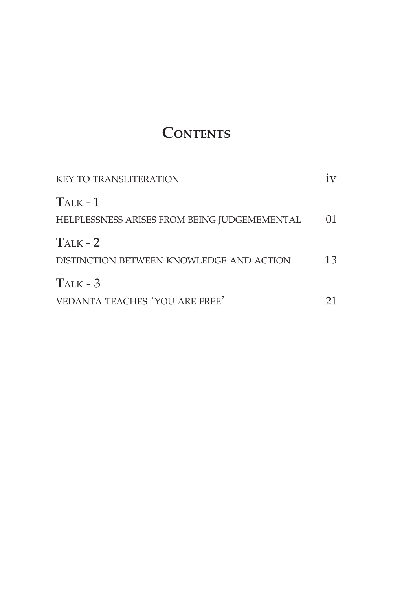# **CONTENTS**

| <b>KEY TO TRANSLITERATION</b>                                 |    |
|---------------------------------------------------------------|----|
| $T_{ALK}$ - 1<br>HELPLESSNESS ARISES FROM BEING JUDGEMEMENTAL | 01 |
| $T_{ALK}$ - 2<br>DISTINCTION BETWEEN KNOWLEDGE AND ACTION     | 13 |
| $T_{ALK}$ - 3<br>VEDANTA TEACHES 'YOU ARE FREE'               |    |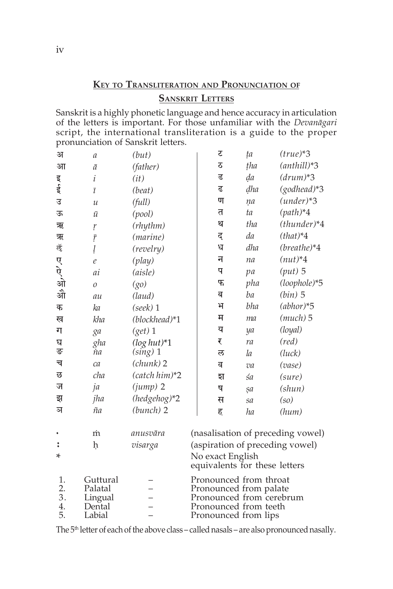## **KEY TO TRANSLITERATION AND PRONUNCIATION OF SANSKRIT LETTERS**

Sanskrit is a highly phonetic language and hence accuracy in articulation of the letters is important. For those unfamiliar with the *Devanägari* script, the international transliteration is a guide to the proper pronunciation of Sanskrit letters.

| अ              | а                  | (but)           | र                                                  | ta  | $(true)*3$                        |
|----------------|--------------------|-----------------|----------------------------------------------------|-----|-----------------------------------|
| आ              | ā                  | (father)        | ठ                                                  | tha | $(anthill)*3$                     |
|                | i                  | (it)            | ड                                                  | da  | $(drum)*3$                        |
| ह्य, त्य       | $\overline{t}$     | (beat)          | ढ                                                  | dha | $(godhead)*3$                     |
| उ              | $\mathcal{U}$      | (full)          | ण                                                  | na  | $(under)*3$                       |
| ऊ              | $\bar{u}$          | (pool)          | त                                                  | ta  | $(path)*4$                        |
| ऋ              | ŗ                  | (rhythm)        | थ                                                  | tha | $(thunder)*4$                     |
| ऋ              | $\bar{r}$          | (marine)        | द                                                  | da  | $(that)*4$                        |
| ऌॅ             | ļ                  | (revelry)       | ध                                                  | dha | $(breathe)*4$                     |
|                | $\ell$             | (play)          | न                                                  | na  | $(nut)*4$                         |
| ए<br>अो        | ai                 | (aisle)         | प                                                  | pa  | $(put)$ 5                         |
|                | $\mathcal{O}$      | (go)            | फ                                                  | pha | (loophole)*5                      |
| औ              | au                 | (laud)          | ब                                                  | ba  | $(bin)$ 5                         |
| क              | ka                 | (seek) 1        | भ                                                  | bha | $(abhor)*5$                       |
| ख              | kha                | (blockhead)*1   | म                                                  | ma  | $(much)$ 5                        |
| ग              | ga                 | $(get)$ 1       | य                                                  | ya  | (loyal)                           |
| घ              | gha                | $(log\;hut)*1$  | ₹                                                  | ra  | $(\text{red})$                    |
| ङ              | 'nа                | $(sing)$ 1      | ल                                                  | la  | (luck)                            |
| च              | ca                 | $(charnk)$ 2    | व                                                  | va  | (vase)                            |
| छ              | cha                | $(catch him)*2$ | হা                                                 | śa  | (sure)                            |
| ज              | ja                 | $(jump)$ 2      | ष                                                  | sa  | $(\text{shun})$                   |
| झ              | jha                | (hedgehog)*2    | स                                                  | sa  | $so$                              |
| ञ              | ña                 | $(bunch)$ 2     | ह                                                  | ha  | (hum)                             |
|                | m                  | anusvāra        |                                                    |     | (nasalisation of preceding vowel) |
| $\ddot{\cdot}$ | h                  | visarga         | (aspiration of preceding vowel)                    |     |                                   |
| *              |                    |                 | No exact English<br>equivalents for these letters  |     |                                   |
| 1.             | Guttural           |                 | Pronounced from throat                             |     |                                   |
| 2.<br>3.       | Palatal<br>Lingual |                 | Pronounced from palate<br>Pronounced from cerebrum |     |                                   |
| 4.             | Dental             |                 | Pronounced from teeth                              |     |                                   |
| 5.             | Labial             |                 | Pronounced from lips                               |     |                                   |

The 5<sup>th</sup> letter of each of the above class – called nasals – are also pronounced nasally.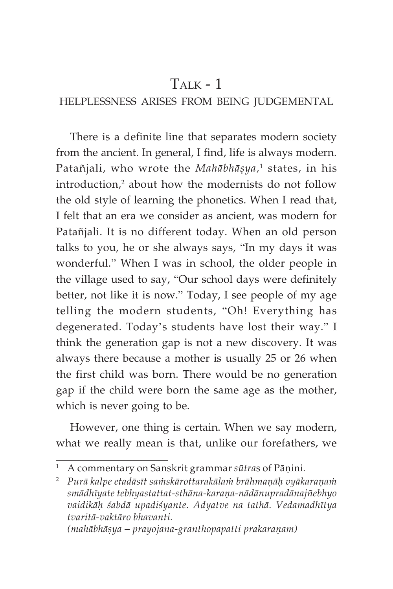## $T_{\text{AI K}}$  - 1

## HELPLESSNESS ARISES FROM BEING JUDGEMENTAL

There is a definite line that separates modern society from the ancient. In general, I find, life is always modern. Patañjali*,* who wrote the *Mahābhāṣya,*' states, in his  $introduction<sup>2</sup>$  about how the modernists do not follow the old style of learning the phonetics. When I read that, I felt that an era we consider as ancient, was modern for Patañjali. It is no different today. When an old person talks to you, he or she always says, "In my days it was wonderful." When I was in school, the older people in the village used to say, "Our school days were definitely better, not like it is now." Today, I see people of my age telling the modern students, "Oh! Everything has degenerated. Today's students have lost their way." I think the generation gap is not a new discovery. It was always there because a mother is usually 25 or 26 when the first child was born. There would be no generation gap if the child were born the same age as the mother, which is never going to be.

However, one thing is certain. When we say modern, what we really mean is that, unlike our forefathers, we

<sup>1</sup> A commentary on Sanskrit grammar *sütra*s of Päëini*.*

<sup>&</sup>lt;sup>2</sup> Purā kalpe etadāsīt sa $\dot{a}$ rakārottarakāla $\dot{a}$ h brāhmanāh vyākarana $\dot{a}$ *smädhéyate tebhyastattat-sthäna-karaëa-nädänupradänajïebhyo vaidikäù çabdä upadiçyante. Adyatve na tathä. Vedamadhétya tvaritä-vaktäro bhavanti.*

*<sup>(</sup>mahābhāṣya – prayojana-granthopapatti prakaraṇam)*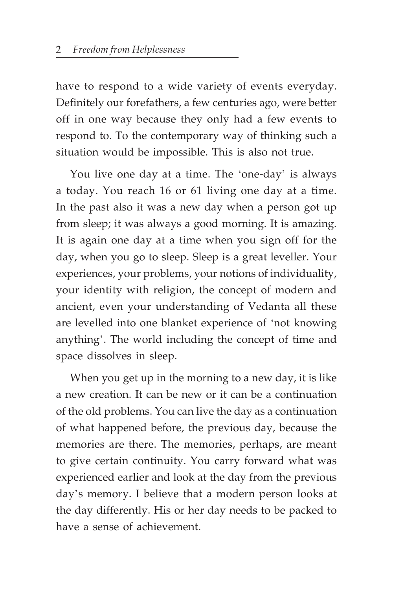have to respond to a wide variety of events everyday. Definitely our forefathers, a few centuries ago, were better off in one way because they only had a few events to respond to. To the contemporary way of thinking such a situation would be impossible. This is also not true.

You live one day at a time. The 'one-day' is always a today. You reach 16 or 61 living one day at a time. In the past also it was a new day when a person got up from sleep; it was always a good morning. It is amazing. It is again one day at a time when you sign off for the day, when you go to sleep. Sleep is a great leveller. Your experiences, your problems, your notions of individuality, your identity with religion, the concept of modern and ancient, even your understanding of Vedanta all these are levelled into one blanket experience of 'not knowing anything'. The world including the concept of time and space dissolves in sleep.

When you get up in the morning to a new day, it is like a new creation. It can be new or it can be a continuation of the old problems. You can live the day as a continuation of what happened before, the previous day, because the memories are there. The memories, perhaps, are meant to give certain continuity. You carry forward what was experienced earlier and look at the day from the previous day's memory. I believe that a modern person looks at the day differently. His or her day needs to be packed to have a sense of achievement.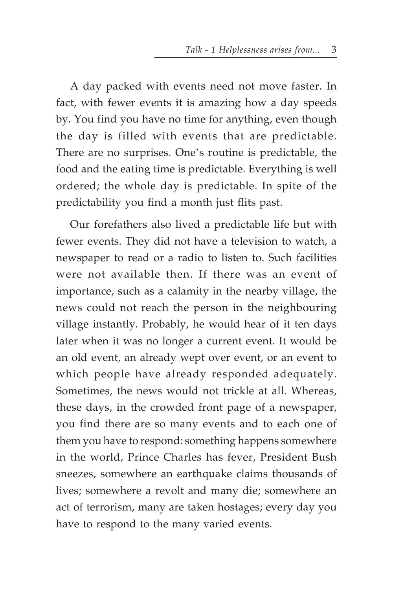A day packed with events need not move faster. In fact, with fewer events it is amazing how a day speeds by. You find you have no time for anything, even though the day is filled with events that are predictable. There are no surprises. One's routine is predictable, the food and the eating time is predictable. Everything is well ordered; the whole day is predictable. In spite of the predictability you find a month just flits past.

Our forefathers also lived a predictable life but with fewer events. They did not have a television to watch, a newspaper to read or a radio to listen to. Such facilities were not available then. If there was an event of importance, such as a calamity in the nearby village, the news could not reach the person in the neighbouring village instantly. Probably, he would hear of it ten days later when it was no longer a current event. It would be an old event, an already wept over event, or an event to which people have already responded adequately. Sometimes, the news would not trickle at all. Whereas, these days, in the crowded front page of a newspaper, you find there are so many events and to each one of them you have to respond: something happens somewhere in the world, Prince Charles has fever, President Bush sneezes, somewhere an earthquake claims thousands of lives; somewhere a revolt and many die; somewhere an act of terrorism, many are taken hostages; every day you have to respond to the many varied events.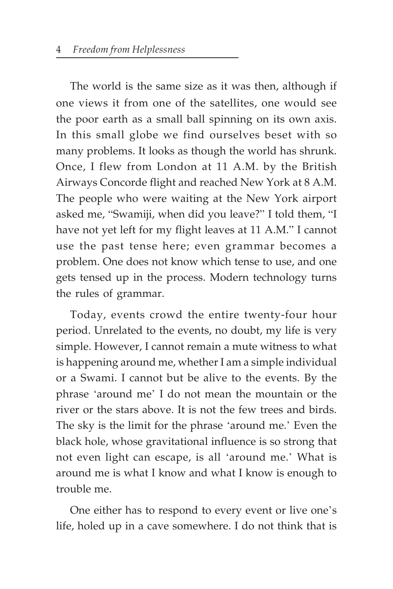The world is the same size as it was then, although if one views it from one of the satellites, one would see the poor earth as a small ball spinning on its own axis. In this small globe we find ourselves beset with so many problems. It looks as though the world has shrunk. Once, I flew from London at 11 A.M. by the British Airways Concorde flight and reached New York at 8 A.M. The people who were waiting at the New York airport asked me, "Swamiji, when did you leave?" I told them, "I have not yet left for my flight leaves at 11 A.M." I cannot use the past tense here; even grammar becomes a problem. One does not know which tense to use, and one gets tensed up in the process. Modern technology turns the rules of grammar.

Today, events crowd the entire twenty-four hour period. Unrelated to the events, no doubt, my life is very simple. However, I cannot remain a mute witness to what is happening around me, whether I am a simple individual or a Swami. I cannot but be alive to the events. By the phrase 'around me' I do not mean the mountain or the river or the stars above. It is not the few trees and birds. The sky is the limit for the phrase 'around me.' Even the black hole, whose gravitational influence is so strong that not even light can escape, is all 'around me.' What is around me is what I know and what I know is enough to trouble me.

One either has to respond to every event or live one's life, holed up in a cave somewhere. I do not think that is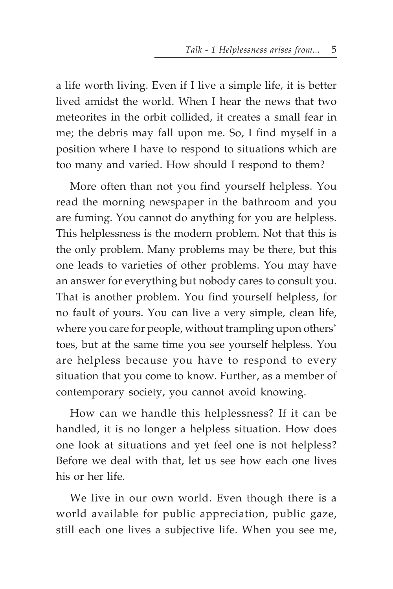a life worth living. Even if I live a simple life, it is better lived amidst the world. When I hear the news that two meteorites in the orbit collided, it creates a small fear in me; the debris may fall upon me. So, I find myself in a position where I have to respond to situations which are too many and varied. How should I respond to them?

More often than not you find yourself helpless. You read the morning newspaper in the bathroom and you are fuming. You cannot do anything for you are helpless. This helplessness is the modern problem. Not that this is the only problem. Many problems may be there, but this one leads to varieties of other problems. You may have an answer for everything but nobody cares to consult you. That is another problem. You find yourself helpless, for no fault of yours. You can live a very simple, clean life, where you care for people, without trampling upon others' toes, but at the same time you see yourself helpless. You are helpless because you have to respond to every situation that you come to know. Further, as a member of contemporary society, you cannot avoid knowing.

How can we handle this helplessness? If it can be handled, it is no longer a helpless situation. How does one look at situations and yet feel one is not helpless? Before we deal with that, let us see how each one lives his or her life.

We live in our own world. Even though there is a world available for public appreciation, public gaze, still each one lives a subjective life. When you see me,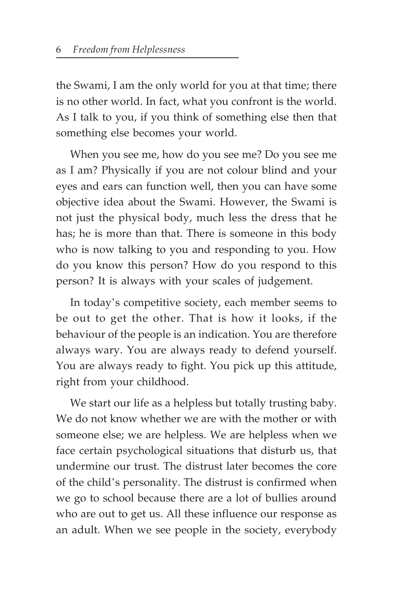the Swami, I am the only world for you at that time; there is no other world. In fact, what you confront is the world. As I talk to you, if you think of something else then that something else becomes your world.

When you see me, how do you see me? Do you see me as I am? Physically if you are not colour blind and your eyes and ears can function well, then you can have some objective idea about the Swami. However, the Swami is not just the physical body, much less the dress that he has; he is more than that. There is someone in this body who is now talking to you and responding to you. How do you know this person? How do you respond to this person? It is always with your scales of judgement.

In today's competitive society, each member seems to be out to get the other. That is how it looks, if the behaviour of the people is an indication. You are therefore always wary. You are always ready to defend yourself. You are always ready to fight. You pick up this attitude, right from your childhood.

We start our life as a helpless but totally trusting baby. We do not know whether we are with the mother or with someone else; we are helpless. We are helpless when we face certain psychological situations that disturb us, that undermine our trust. The distrust later becomes the core of the child's personality. The distrust is confirmed when we go to school because there are a lot of bullies around who are out to get us. All these influence our response as an adult. When we see people in the society, everybody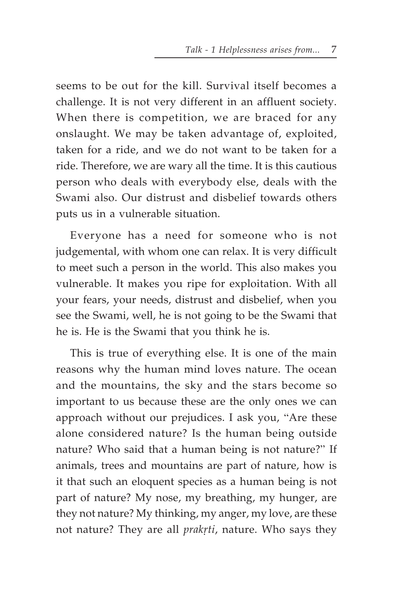seems to be out for the kill. Survival itself becomes a challenge. It is not very different in an affluent society. When there is competition, we are braced for any onslaught. We may be taken advantage of, exploited, taken for a ride, and we do not want to be taken for a ride. Therefore, we are wary all the time. It is this cautious person who deals with everybody else, deals with the Swami also. Our distrust and disbelief towards others puts us in a vulnerable situation.

Everyone has a need for someone who is not judgemental, with whom one can relax. It is very difficult to meet such a person in the world. This also makes you vulnerable. It makes you ripe for exploitation. With all your fears, your needs, distrust and disbelief, when you see the Swami, well, he is not going to be the Swami that he is. He is the Swami that you think he is.

This is true of everything else. It is one of the main reasons why the human mind loves nature. The ocean and the mountains, the sky and the stars become so important to us because these are the only ones we can approach without our prejudices. I ask you, "Are these alone considered nature? Is the human being outside nature? Who said that a human being is not nature?" If animals, trees and mountains are part of nature, how is it that such an eloquent species as a human being is not part of nature? My nose, my breathing, my hunger, are they not nature? My thinking, my anger, my love, are these not nature? They are all *prakrti*, nature. Who says they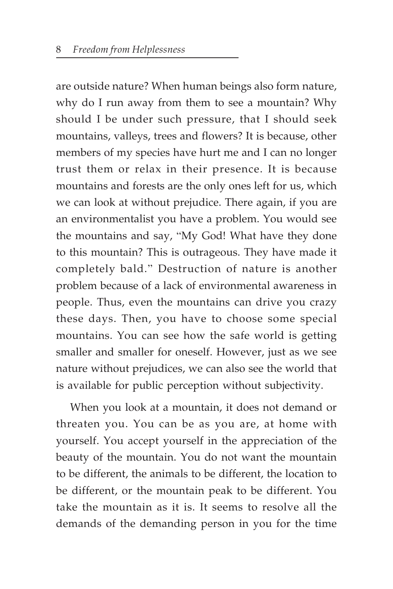are outside nature? When human beings also form nature, why do I run away from them to see a mountain? Why should I be under such pressure, that I should seek mountains, valleys, trees and flowers? It is because, other members of my species have hurt me and I can no longer trust them or relax in their presence. It is because mountains and forests are the only ones left for us, which we can look at without prejudice. There again, if you are an environmentalist you have a problem. You would see the mountains and say, "My God! What have they done to this mountain? This is outrageous. They have made it completely bald." Destruction of nature is another problem because of a lack of environmental awareness in people. Thus, even the mountains can drive you crazy these days. Then, you have to choose some special mountains. You can see how the safe world is getting smaller and smaller for oneself. However, just as we see nature without prejudices, we can also see the world that is available for public perception without subjectivity.

When you look at a mountain, it does not demand or threaten you. You can be as you are, at home with yourself. You accept yourself in the appreciation of the beauty of the mountain. You do not want the mountain to be different, the animals to be different, the location to be different, or the mountain peak to be different. You take the mountain as it is. It seems to resolve all the demands of the demanding person in you for the time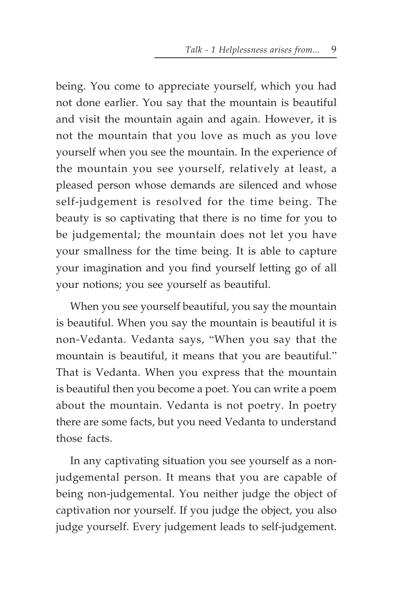being. You come to appreciate yourself, which you had not done earlier. You say that the mountain is beautiful and visit the mountain again and again. However, it is not the mountain that you love as much as you love yourself when you see the mountain. In the experience of the mountain you see yourself, relatively at least, a pleased person whose demands are silenced and whose self-judgement is resolved for the time being. The beauty is so captivating that there is no time for you to be judgemental; the mountain does not let you have your smallness for the time being. It is able to capture your imagination and you find yourself letting go of all your notions; you see yourself as beautiful.

When you see yourself beautiful, you say the mountain is beautiful. When you say the mountain is beautiful it is non-Vedanta. Vedanta says, "When you say that the mountain is beautiful, it means that you are beautiful." That is Vedanta. When you express that the mountain is beautiful then you become a poet. You can write a poem about the mountain. Vedanta is not poetry. In poetry there are some facts, but you need Vedanta to understand those facts.

In any captivating situation you see yourself as a nonjudgemental person. It means that you are capable of being non-judgemental. You neither judge the object of captivation nor yourself. If you judge the object, you also judge yourself. Every judgement leads to self-judgement.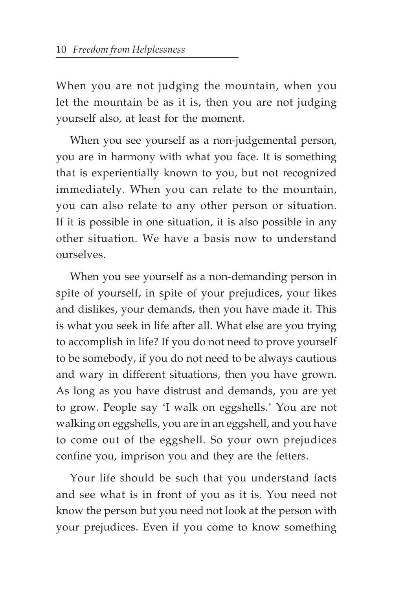When you are not judging the mountain, when you let the mountain be as it is, then you are not judging yourself also, at least for the moment.

When you see yourself as a non-judgemental person, you are in harmony with what you face. It is something that is experientially known to you, but not recognized immediately. When you can relate to the mountain, you can also relate to any other person or situation. If it is possible in one situation, it is also possible in any other situation. We have a basis now to understand ourselves.

When you see yourself as a non-demanding person in spite of yourself, in spite of your prejudices, your likes and dislikes, your demands, then you have made it. This is what you seek in life after all. What else are you trying to accomplish in life? If you do not need to prove yourself to be somebody, if you do not need to be always cautious and wary in different situations, then you have grown. As long as you have distrust and demands, you are yet to grow. People say 'I walk on eggshells.' You are not walking on eggshells, you are in an eggshell, and you have to come out of the eggshell. So your own prejudices confine you, imprison you and they are the fetters.

Your life should be such that you understand facts and see what is in front of you as it is. You need not know the person but you need not look at the person with your prejudices. Even if you come to know something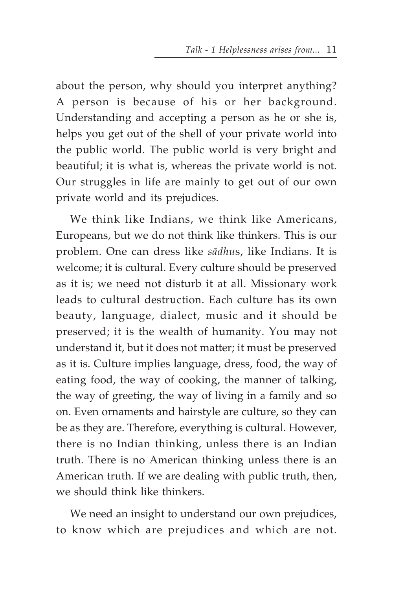about the person, why should you interpret anything? A person is because of his or her background. Understanding and accepting a person as he or she is, helps you get out of the shell of your private world into the public world. The public world is very bright and beautiful; it is what is, whereas the private world is not. Our struggles in life are mainly to get out of our own private world and its prejudices.

We think like Indians, we think like Americans, Europeans, but we do not think like thinkers. This is our problem. One can dress like *sädhu*s, like Indians. It is welcome; it is cultural. Every culture should be preserved as it is; we need not disturb it at all. Missionary work leads to cultural destruction. Each culture has its own beauty, language, dialect, music and it should be preserved; it is the wealth of humanity. You may not understand it, but it does not matter; it must be preserved as it is. Culture implies language, dress, food, the way of eating food, the way of cooking, the manner of talking, the way of greeting, the way of living in a family and so on. Even ornaments and hairstyle are culture, so they can be as they are. Therefore, everything is cultural. However, there is no Indian thinking, unless there is an Indian truth. There is no American thinking unless there is an American truth. If we are dealing with public truth, then, we should think like thinkers.

We need an insight to understand our own prejudices, to know which are prejudices and which are not.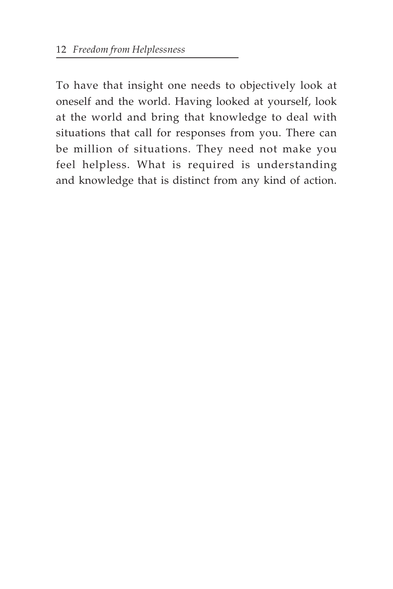To have that insight one needs to objectively look at oneself and the world. Having looked at yourself, look at the world and bring that knowledge to deal with situations that call for responses from you. There can be million of situations. They need not make you feel helpless. What is required is understanding and knowledge that is distinct from any kind of action.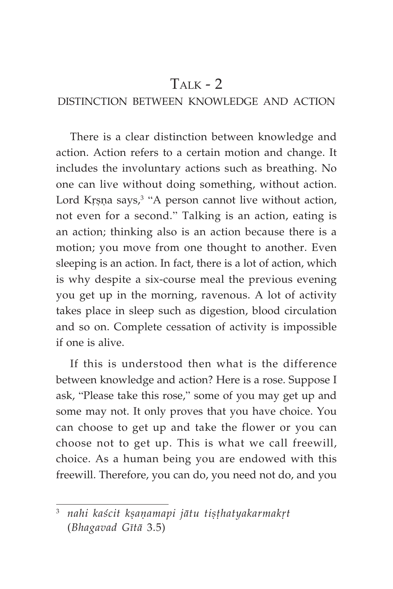## $T_{\text{AIK}}$  - 2

## DISTINCTION BETWEEN KNOWLEDGE AND ACTION

There is a clear distinction between knowledge and action. Action refers to a certain motion and change. It includes the involuntary actions such as breathing. No one can live without doing something, without action. Lord Krșņa says, $3$  "A person cannot live without action, not even for a second." Talking is an action, eating is an action; thinking also is an action because there is a motion; you move from one thought to another. Even sleeping is an action. In fact, there is a lot of action, which is why despite a six-course meal the previous evening you get up in the morning, ravenous. A lot of activity takes place in sleep such as digestion, blood circulation and so on. Complete cessation of activity is impossible if one is alive.

If this is understood then what is the difference between knowledge and action? Here is a rose. Suppose I ask, "Please take this rose," some of you may get up and some may not. It only proves that you have choice. You can choose to get up and take the flower or you can choose not to get up. This is what we call freewill, choice. As a human being you are endowed with this freewill. Therefore, you can do, you need not do, and you

<sup>&</sup>lt;sup>3</sup> nahi kaścit ksaņamapi jātu tisthatyakarmakrt (*Bhagavad Gétä* 3.5)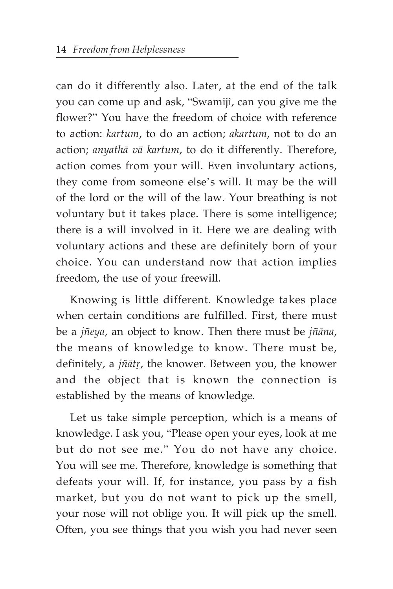can do it differently also. Later, at the end of the talk you can come up and ask, "Swamiji, can you give me the flower?" You have the freedom of choice with reference to action: *kartum*, to do an action; *akartum*, not to do an action; *anyathä vä kartum*, to do it differently. Therefore, action comes from your will. Even involuntary actions, they come from someone else's will. It may be the will of the lord or the will of the law. Your breathing is not voluntary but it takes place. There is some intelligence; there is a will involved in it. Here we are dealing with voluntary actions and these are definitely born of your choice. You can understand now that action implies freedom, the use of your freewill.

Knowing is little different. Knowledge takes place when certain conditions are fulfilled. First, there must be a *jïeya*, an object to know. Then there must be *jïäna*, the means of knowledge to know. There must be, definitely, a *jñātr*, the knower. Between you, the knower and the object that is known the connection is established by the means of knowledge.

Let us take simple perception, which is a means of knowledge. I ask you, "Please open your eyes, look at me but do not see me." You do not have any choice. You will see me. Therefore, knowledge is something that defeats your will. If, for instance, you pass by a fish market, but you do not want to pick up the smell, your nose will not oblige you. It will pick up the smell. Often, you see things that you wish you had never seen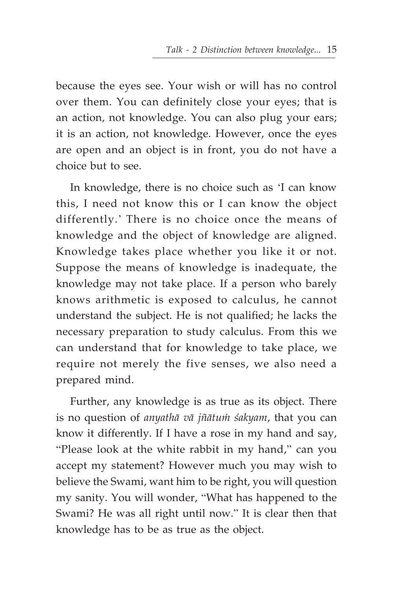because the eyes see. Your wish or will has no control over them. You can definitely close your eyes; that is an action, not knowledge. You can also plug your ears; it is an action, not knowledge. However, once the eyes are open and an object is in front, you do not have a choice but to see.

In knowledge, there is no choice such as 'I can know this, I need not know this or I can know the object differently.' There is no choice once the means of knowledge and the object of knowledge are aligned. Knowledge takes place whether you like it or not. Suppose the means of knowledge is inadequate, the knowledge may not take place. If a person who barely knows arithmetic is exposed to calculus, he cannot understand the subject. He is not qualified; he lacks the necessary preparation to study calculus. From this we can understand that for knowledge to take place, we require not merely the five senses, we also need a prepared mind.

Further, any knowledge is as true as its object. There is no question of *anyathā vā jñātum śakyam*, that you can know it differently. If I have a rose in my hand and say, "Please look at the white rabbit in my hand," can you accept my statement? However much you may wish to believe the Swami, want him to be right, you will question my sanity. You will wonder, "What has happened to the Swami? He was all right until now." It is clear then that knowledge has to be as true as the object.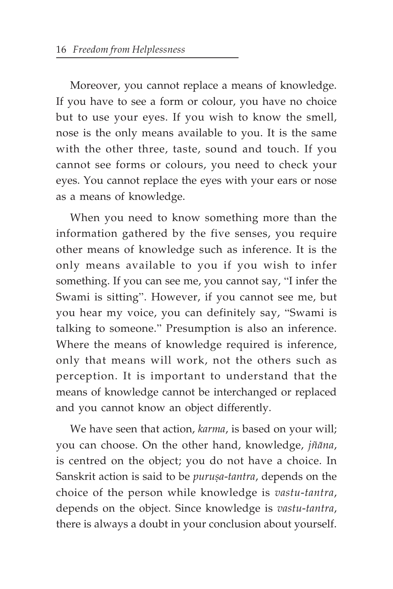Moreover, you cannot replace a means of knowledge. If you have to see a form or colour, you have no choice but to use your eyes. If you wish to know the smell, nose is the only means available to you. It is the same with the other three, taste, sound and touch. If you cannot see forms or colours, you need to check your eyes. You cannot replace the eyes with your ears or nose as a means of knowledge.

When you need to know something more than the information gathered by the five senses, you require other means of knowledge such as inference. It is the only means available to you if you wish to infer something. If you can see me, you cannot say, "I infer the Swami is sitting". However, if you cannot see me, but you hear my voice, you can definitely say, "Swami is talking to someone." Presumption is also an inference. Where the means of knowledge required is inference, only that means will work, not the others such as perception. It is important to understand that the means of knowledge cannot be interchanged or replaced and you cannot know an object differently.

We have seen that action, *karma*, is based on your will; you can choose. On the other hand, knowledge, *jïäna*, is centred on the object; you do not have a choice. In Sanskrit action is said to be *purușa-tantra*, depends on the choice of the person while knowledge is *vastu*-*tantra*, depends on the object. Since knowledge is *vastu*-*tantra*, there is always a doubt in your conclusion about yourself.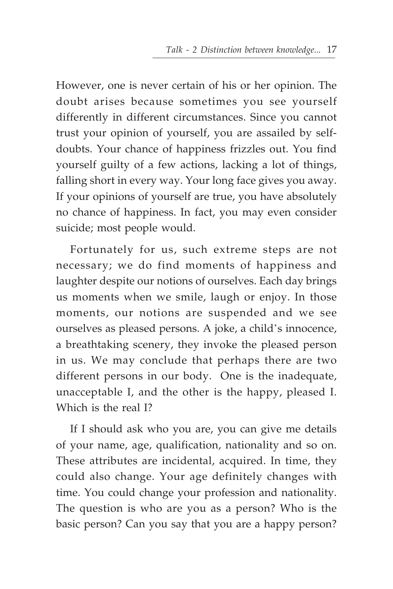However, one is never certain of his or her opinion. The doubt arises because sometimes you see yourself differently in different circumstances. Since you cannot trust your opinion of yourself, you are assailed by selfdoubts. Your chance of happiness frizzles out. You find yourself guilty of a few actions, lacking a lot of things, falling short in every way. Your long face gives you away. If your opinions of yourself are true, you have absolutely no chance of happiness. In fact, you may even consider suicide; most people would.

Fortunately for us, such extreme steps are not necessary; we do find moments of happiness and laughter despite our notions of ourselves. Each day brings us moments when we smile, laugh or enjoy. In those moments, our notions are suspended and we see ourselves as pleased persons. A joke, a child's innocence, a breathtaking scenery, they invoke the pleased person in us. We may conclude that perhaps there are two different persons in our body. One is the inadequate, unacceptable I, and the other is the happy, pleased I. Which is the real I?

If I should ask who you are, you can give me details of your name, age, qualification, nationality and so on. These attributes are incidental, acquired. In time, they could also change. Your age definitely changes with time. You could change your profession and nationality. The question is who are you as a person? Who is the basic person? Can you say that you are a happy person?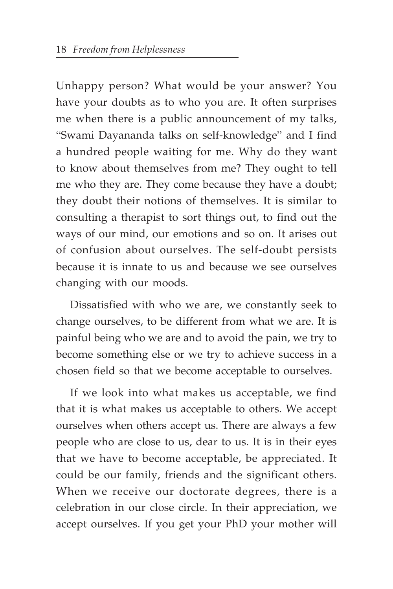Unhappy person? What would be your answer? You have your doubts as to who you are. It often surprises me when there is a public announcement of my talks, "Swami Dayananda talks on self-knowledge" and I find a hundred people waiting for me. Why do they want to know about themselves from me? They ought to tell me who they are. They come because they have a doubt; they doubt their notions of themselves. It is similar to consulting a therapist to sort things out, to find out the ways of our mind, our emotions and so on. It arises out of confusion about ourselves. The self-doubt persists because it is innate to us and because we see ourselves changing with our moods.

Dissatisfied with who we are, we constantly seek to change ourselves, to be different from what we are. It is painful being who we are and to avoid the pain, we try to become something else or we try to achieve success in a chosen field so that we become acceptable to ourselves.

If we look into what makes us acceptable, we find that it is what makes us acceptable to others. We accept ourselves when others accept us. There are always a few people who are close to us, dear to us. It is in their eyes that we have to become acceptable, be appreciated. It could be our family, friends and the significant others. When we receive our doctorate degrees, there is a celebration in our close circle. In their appreciation, we accept ourselves. If you get your PhD your mother will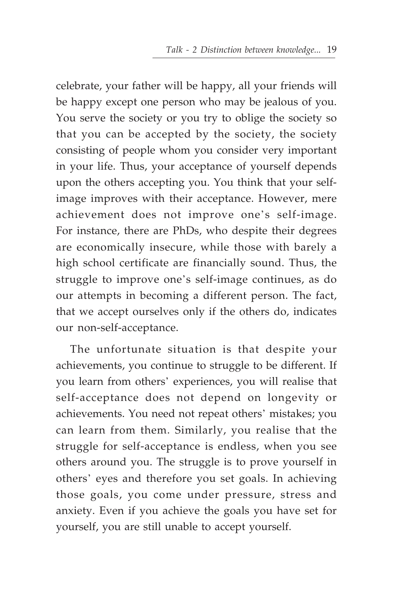celebrate, your father will be happy, all your friends will be happy except one person who may be jealous of you. You serve the society or you try to oblige the society so that you can be accepted by the society, the society consisting of people whom you consider very important in your life. Thus, your acceptance of yourself depends upon the others accepting you. You think that your selfimage improves with their acceptance. However, mere achievement does not improve one's self-image. For instance, there are PhDs, who despite their degrees are economically insecure, while those with barely a high school certificate are financially sound. Thus, the struggle to improve one's self-image continues, as do our attempts in becoming a different person. The fact, that we accept ourselves only if the others do, indicates our non-self-acceptance.

The unfortunate situation is that despite your achievements, you continue to struggle to be different. If you learn from others' experiences, you will realise that self-acceptance does not depend on longevity or achievements. You need not repeat others' mistakes; you can learn from them. Similarly, you realise that the struggle for self-acceptance is endless, when you see others around you. The struggle is to prove yourself in others' eyes and therefore you set goals. In achieving those goals, you come under pressure, stress and anxiety. Even if you achieve the goals you have set for yourself, you are still unable to accept yourself.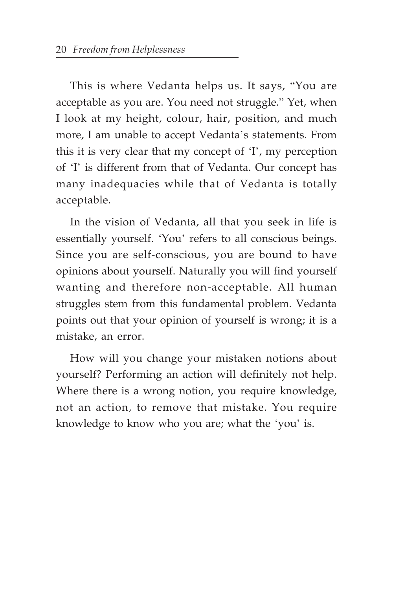This is where Vedanta helps us. It says, "You are acceptable as you are. You need not struggle." Yet, when I look at my height, colour, hair, position, and much more, I am unable to accept Vedanta's statements. From this it is very clear that my concept of 'I', my perception of 'I' is different from that of Vedanta. Our concept has many inadequacies while that of Vedanta is totally acceptable.

In the vision of Vedanta, all that you seek in life is essentially yourself. 'You' refers to all conscious beings. Since you are self-conscious, you are bound to have opinions about yourself. Naturally you will find yourself wanting and therefore non-acceptable. All human struggles stem from this fundamental problem. Vedanta points out that your opinion of yourself is wrong; it is a mistake, an error.

How will you change your mistaken notions about yourself? Performing an action will definitely not help. Where there is a wrong notion, you require knowledge, not an action, to remove that mistake. You require knowledge to know who you are; what the 'you' is.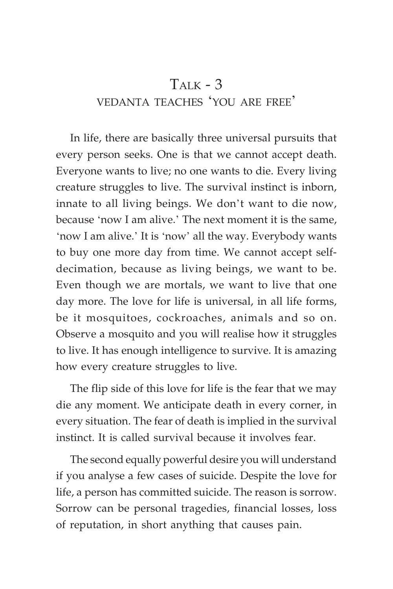# $T_{\text{ALK}}$  - 3 VEDANTA TEACHES 'YOU ARE FREE'

In life, there are basically three universal pursuits that every person seeks. One is that we cannot accept death. Everyone wants to live; no one wants to die. Every living creature struggles to live. The survival instinct is inborn, innate to all living beings. We don't want to die now, because 'now I am alive.' The next moment it is the same, 'now I am alive.' It is 'now' all the way. Everybody wants to buy one more day from time. We cannot accept selfdecimation, because as living beings, we want to be. Even though we are mortals, we want to live that one day more. The love for life is universal, in all life forms, be it mosquitoes, cockroaches, animals and so on. Observe a mosquito and you will realise how it struggles to live. It has enough intelligence to survive. It is amazing how every creature struggles to live.

The flip side of this love for life is the fear that we may die any moment. We anticipate death in every corner, in every situation. The fear of death is implied in the survival instinct. It is called survival because it involves fear.

The second equally powerful desire you will understand if you analyse a few cases of suicide. Despite the love for life, a person has committed suicide. The reason is sorrow. Sorrow can be personal tragedies, financial losses, loss of reputation, in short anything that causes pain.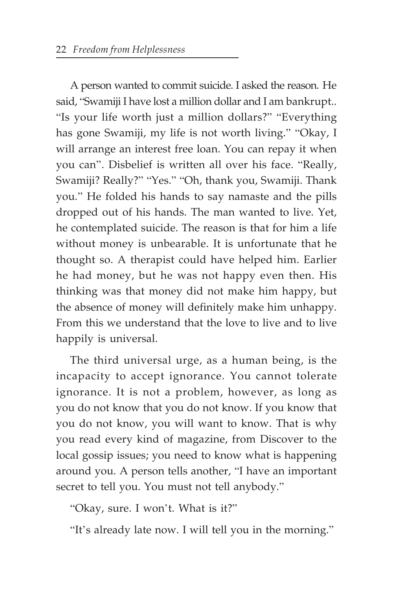A person wanted to commit suicide. I asked the reason. He said, "Swamiji I have lost a million dollar and I am bankrupt.. "Is your life worth just a million dollars?" "Everything has gone Swamiji, my life is not worth living." "Okay, I will arrange an interest free loan. You can repay it when you can". Disbelief is written all over his face. "Really, Swamiji? Really?" "Yes." "Oh, thank you, Swamiji. Thank you." He folded his hands to say namaste and the pills dropped out of his hands. The man wanted to live. Yet, he contemplated suicide. The reason is that for him a life without money is unbearable. It is unfortunate that he thought so. A therapist could have helped him. Earlier he had money, but he was not happy even then. His thinking was that money did not make him happy, but the absence of money will definitely make him unhappy. From this we understand that the love to live and to live happily is universal.

The third universal urge, as a human being, is the incapacity to accept ignorance. You cannot tolerate ignorance. It is not a problem, however, as long as you do not know that you do not know. If you know that you do not know, you will want to know. That is why you read every kind of magazine, from Discover to the local gossip issues; you need to know what is happening around you. A person tells another, "I have an important secret to tell you. You must not tell anybody."

"Okay, sure. I won't. What is it?"

"It's already late now. I will tell you in the morning."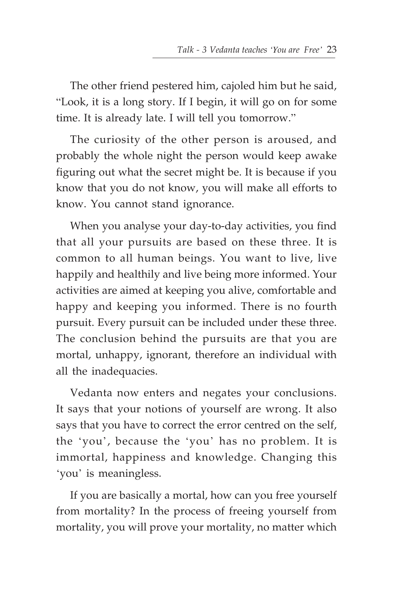The other friend pestered him, cajoled him but he said, "Look, it is a long story. If I begin, it will go on for some time. It is already late. I will tell you tomorrow."

The curiosity of the other person is aroused, and probably the whole night the person would keep awake figuring out what the secret might be. It is because if you know that you do not know, you will make all efforts to know. You cannot stand ignorance.

When you analyse your day-to-day activities, you find that all your pursuits are based on these three. It is common to all human beings. You want to live, live happily and healthily and live being more informed. Your activities are aimed at keeping you alive, comfortable and happy and keeping you informed. There is no fourth pursuit. Every pursuit can be included under these three. The conclusion behind the pursuits are that you are mortal, unhappy, ignorant, therefore an individual with all the inadequacies.

Vedanta now enters and negates your conclusions. It says that your notions of yourself are wrong. It also says that you have to correct the error centred on the self, the 'you', because the 'you' has no problem. It is immortal, happiness and knowledge. Changing this 'you' is meaningless.

If you are basically a mortal, how can you free yourself from mortality? In the process of freeing yourself from mortality, you will prove your mortality, no matter which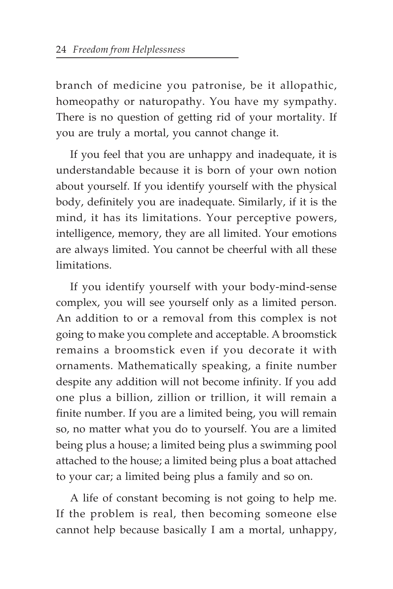branch of medicine you patronise, be it allopathic, homeopathy or naturopathy. You have my sympathy. There is no question of getting rid of your mortality. If you are truly a mortal, you cannot change it.

If you feel that you are unhappy and inadequate, it is understandable because it is born of your own notion about yourself. If you identify yourself with the physical body, definitely you are inadequate. Similarly, if it is the mind, it has its limitations. Your perceptive powers, intelligence, memory, they are all limited. Your emotions are always limited. You cannot be cheerful with all these limitations.

If you identify yourself with your body-mind-sense complex, you will see yourself only as a limited person. An addition to or a removal from this complex is not going to make you complete and acceptable. A broomstick remains a broomstick even if you decorate it with ornaments. Mathematically speaking, a finite number despite any addition will not become infinity. If you add one plus a billion, zillion or trillion, it will remain a finite number. If you are a limited being, you will remain so, no matter what you do to yourself. You are a limited being plus a house; a limited being plus a swimming pool attached to the house; a limited being plus a boat attached to your car; a limited being plus a family and so on.

A life of constant becoming is not going to help me. If the problem is real, then becoming someone else cannot help because basically I am a mortal, unhappy,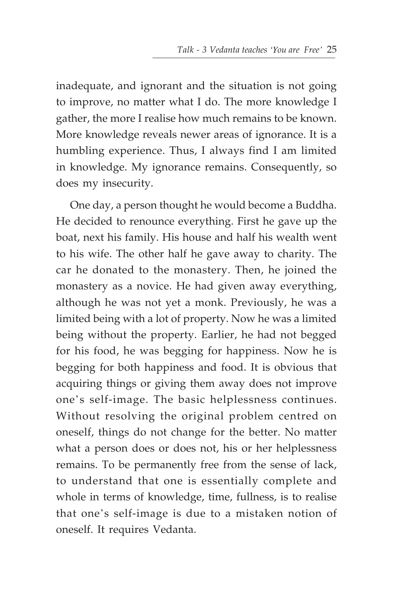inadequate, and ignorant and the situation is not going to improve, no matter what I do. The more knowledge I gather, the more I realise how much remains to be known. More knowledge reveals newer areas of ignorance. It is a humbling experience. Thus, I always find I am limited in knowledge. My ignorance remains. Consequently, so does my insecurity.

One day, a person thought he would become a Buddha. He decided to renounce everything. First he gave up the boat, next his family. His house and half his wealth went to his wife. The other half he gave away to charity. The car he donated to the monastery. Then, he joined the monastery as a novice. He had given away everything, although he was not yet a monk. Previously, he was a limited being with a lot of property. Now he was a limited being without the property. Earlier, he had not begged for his food, he was begging for happiness. Now he is begging for both happiness and food. It is obvious that acquiring things or giving them away does not improve one's self-image. The basic helplessness continues. Without resolving the original problem centred on oneself, things do not change for the better. No matter what a person does or does not, his or her helplessness remains. To be permanently free from the sense of lack, to understand that one is essentially complete and whole in terms of knowledge, time, fullness, is to realise that one's self-image is due to a mistaken notion of oneself. It requires Vedanta.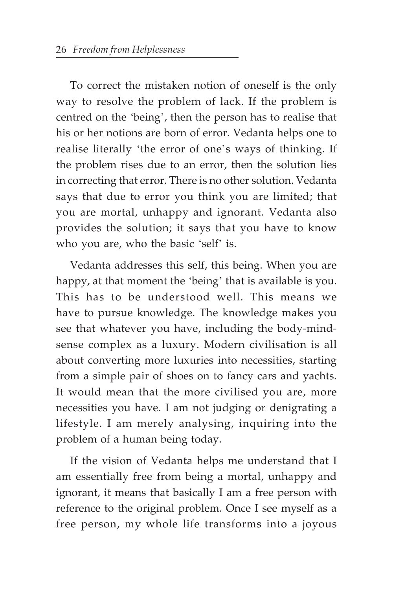To correct the mistaken notion of oneself is the only way to resolve the problem of lack. If the problem is centred on the 'being', then the person has to realise that his or her notions are born of error. Vedanta helps one to realise literally 'the error of one's ways of thinking. If the problem rises due to an error, then the solution lies in correcting that error. There is no other solution. Vedanta says that due to error you think you are limited; that you are mortal, unhappy and ignorant. Vedanta also provides the solution; it says that you have to know who you are, who the basic 'self' is.

Vedanta addresses this self, this being. When you are happy, at that moment the 'being' that is available is you. This has to be understood well. This means we have to pursue knowledge. The knowledge makes you see that whatever you have, including the body-mindsense complex as a luxury. Modern civilisation is all about converting more luxuries into necessities, starting from a simple pair of shoes on to fancy cars and yachts. It would mean that the more civilised you are, more necessities you have. I am not judging or denigrating a lifestyle. I am merely analysing, inquiring into the problem of a human being today.

If the vision of Vedanta helps me understand that I am essentially free from being a mortal, unhappy and ignorant, it means that basically I am a free person with reference to the original problem. Once I see myself as a free person, my whole life transforms into a joyous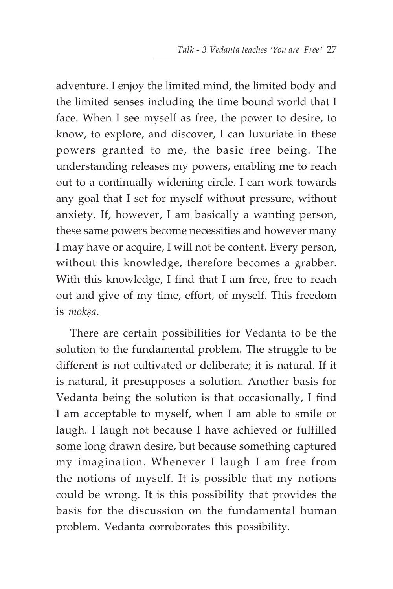adventure. I enjoy the limited mind, the limited body and the limited senses including the time bound world that I face. When I see myself as free, the power to desire, to know, to explore, and discover, I can luxuriate in these powers granted to me, the basic free being. The understanding releases my powers, enabling me to reach out to a continually widening circle. I can work towards any goal that I set for myself without pressure, without anxiety. If, however, I am basically a wanting person, these same powers become necessities and however many I may have or acquire, I will not be content. Every person, without this knowledge, therefore becomes a grabber. With this knowledge, I find that I am free, free to reach out and give of my time, effort, of myself. This freedom is moksa.

There are certain possibilities for Vedanta to be the solution to the fundamental problem. The struggle to be different is not cultivated or deliberate; it is natural. If it is natural, it presupposes a solution. Another basis for Vedanta being the solution is that occasionally, I find I am acceptable to myself, when I am able to smile or laugh. I laugh not because I have achieved or fulfilled some long drawn desire, but because something captured my imagination. Whenever I laugh I am free from the notions of myself. It is possible that my notions could be wrong. It is this possibility that provides the basis for the discussion on the fundamental human problem. Vedanta corroborates this possibility.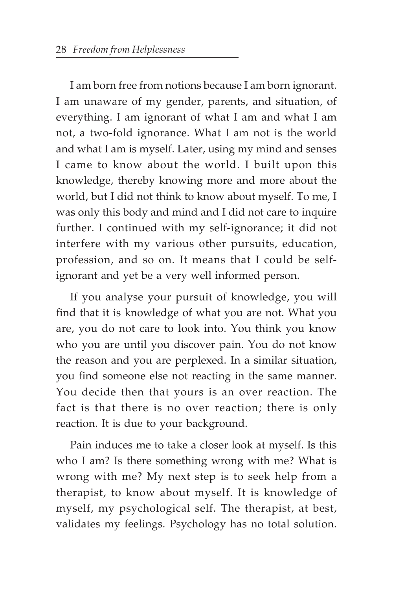I am born free from notions because I am born ignorant. I am unaware of my gender, parents, and situation, of everything. I am ignorant of what I am and what I am not, a two-fold ignorance. What I am not is the world and what I am is myself. Later, using my mind and senses I came to know about the world. I built upon this knowledge, thereby knowing more and more about the world, but I did not think to know about myself. To me, I was only this body and mind and I did not care to inquire further. I continued with my self-ignorance; it did not interfere with my various other pursuits, education, profession, and so on. It means that I could be selfignorant and yet be a very well informed person.

If you analyse your pursuit of knowledge, you will find that it is knowledge of what you are not. What you are, you do not care to look into. You think you know who you are until you discover pain. You do not know the reason and you are perplexed. In a similar situation, you find someone else not reacting in the same manner. You decide then that yours is an over reaction. The fact is that there is no over reaction; there is only reaction. It is due to your background.

Pain induces me to take a closer look at myself. Is this who I am? Is there something wrong with me? What is wrong with me? My next step is to seek help from a therapist, to know about myself. It is knowledge of myself, my psychological self. The therapist, at best, validates my feelings. Psychology has no total solution.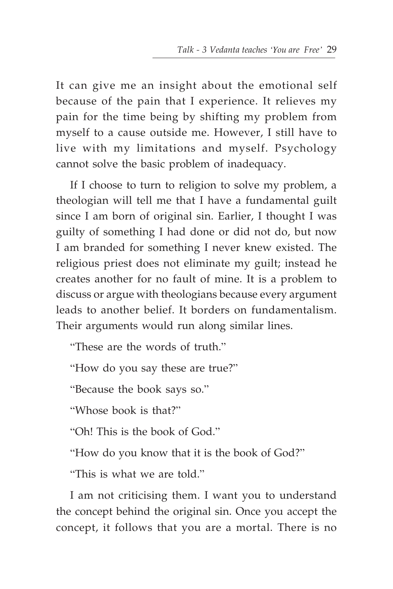It can give me an insight about the emotional self because of the pain that I experience. It relieves my pain for the time being by shifting my problem from myself to a cause outside me. However, I still have to live with my limitations and myself. Psychology cannot solve the basic problem of inadequacy.

If I choose to turn to religion to solve my problem, a theologian will tell me that I have a fundamental guilt since I am born of original sin. Earlier, I thought I was guilty of something I had done or did not do, but now I am branded for something I never knew existed. The religious priest does not eliminate my guilt; instead he creates another for no fault of mine. It is a problem to discuss or argue with theologians because every argument leads to another belief. It borders on fundamentalism. Their arguments would run along similar lines.

"These are the words of truth."

"How do you say these are true?"

"Because the book says so."

"Whose book is that?"

"Oh! This is the book of God."

"How do you know that it is the book of God?"

"This is what we are told."

I am not criticising them. I want you to understand the concept behind the original sin. Once you accept the concept, it follows that you are a mortal. There is no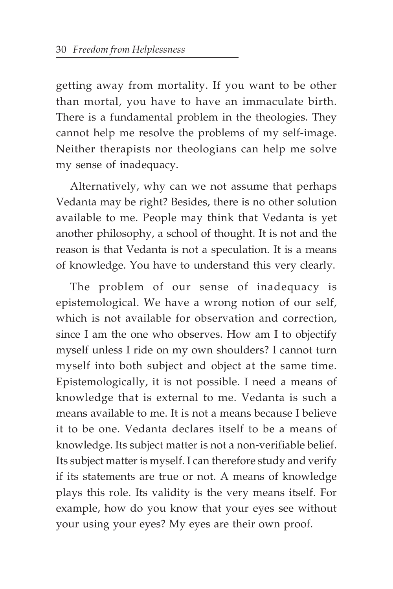getting away from mortality. If you want to be other than mortal, you have to have an immaculate birth. There is a fundamental problem in the theologies. They cannot help me resolve the problems of my self-image. Neither therapists nor theologians can help me solve my sense of inadequacy.

Alternatively, why can we not assume that perhaps Vedanta may be right? Besides, there is no other solution available to me. People may think that Vedanta is yet another philosophy, a school of thought. It is not and the reason is that Vedanta is not a speculation. It is a means of knowledge. You have to understand this very clearly.

The problem of our sense of inadequacy is epistemological. We have a wrong notion of our self, which is not available for observation and correction, since I am the one who observes. How am I to objectify myself unless I ride on my own shoulders? I cannot turn myself into both subject and object at the same time. Epistemologically, it is not possible. I need a means of knowledge that is external to me. Vedanta is such a means available to me. It is not a means because I believe it to be one. Vedanta declares itself to be a means of knowledge. Its subject matter is not a non-verifiable belief. Its subject matter is myself. I can therefore study and verify if its statements are true or not. A means of knowledge plays this role. Its validity is the very means itself. For example, how do you know that your eyes see without your using your eyes? My eyes are their own proof.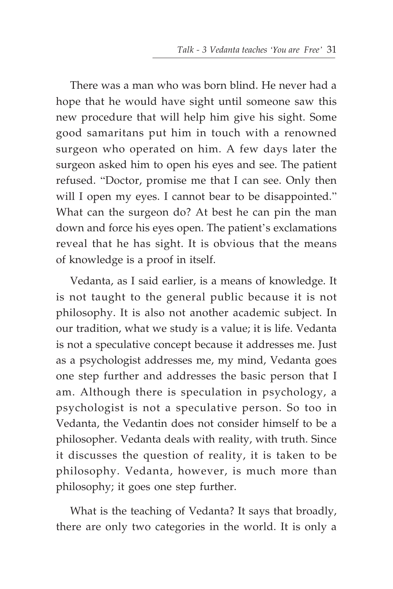There was a man who was born blind. He never had a hope that he would have sight until someone saw this new procedure that will help him give his sight. Some good samaritans put him in touch with a renowned surgeon who operated on him. A few days later the surgeon asked him to open his eyes and see. The patient refused. "Doctor, promise me that I can see. Only then will I open my eyes. I cannot bear to be disappointed." What can the surgeon do? At best he can pin the man down and force his eyes open. The patient's exclamations reveal that he has sight. It is obvious that the means of knowledge is a proof in itself.

Vedanta, as I said earlier, is a means of knowledge. It is not taught to the general public because it is not philosophy. It is also not another academic subject. In our tradition, what we study is a value; it is life. Vedanta is not a speculative concept because it addresses me. Just as a psychologist addresses me, my mind, Vedanta goes one step further and addresses the basic person that I am. Although there is speculation in psychology, a psychologist is not a speculative person. So too in Vedanta, the Vedantin does not consider himself to be a philosopher. Vedanta deals with reality, with truth. Since it discusses the question of reality, it is taken to be philosophy. Vedanta, however, is much more than philosophy; it goes one step further.

What is the teaching of Vedanta? It says that broadly, there are only two categories in the world. It is only a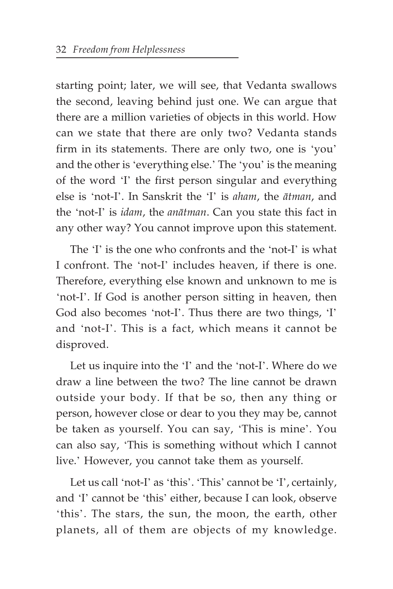starting point; later, we will see, that Vedanta swallows the second, leaving behind just one. We can argue that there are a million varieties of objects in this world. How can we state that there are only two? Vedanta stands firm in its statements. There are only two, one is 'you' and the other is 'everything else.' The 'you' is the meaning of the word 'I' the first person singular and everything else is 'not-I'. In Sanskrit the 'I' is *aham*, the *ätman*, and the 'not-I' is *idam*, the *anätman*. Can you state this fact in any other way? You cannot improve upon this statement.

The 'I' is the one who confronts and the 'not-I' is what I confront. The 'not-I' includes heaven, if there is one. Therefore, everything else known and unknown to me is 'not-I'. If God is another person sitting in heaven, then God also becomes 'not-I'. Thus there are two things, 'I' and 'not-I'. This is a fact, which means it cannot be disproved.

Let us inquire into the 'I' and the 'not-I'. Where do we draw a line between the two? The line cannot be drawn outside your body. If that be so, then any thing or person, however close or dear to you they may be, cannot be taken as yourself. You can say, 'This is mine'. You can also say, 'This is something without which I cannot live.' However, you cannot take them as yourself.

Let us call 'not-I' as 'this'. 'This' cannot be 'I', certainly, and 'I' cannot be 'this' either, because I can look, observe 'this'. The stars, the sun, the moon, the earth, other planets, all of them are objects of my knowledge.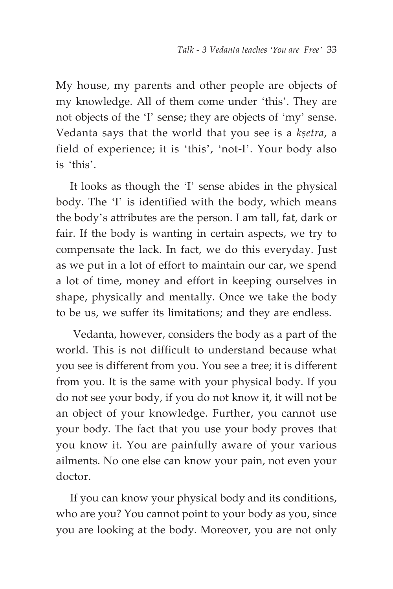My house, my parents and other people are objects of my knowledge. All of them come under 'this'. They are not objects of the 'I' sense; they are objects of 'my' sense. Vedanta says that the world that you see is a *ksetra*, a field of experience; it is 'this', 'not-I'. Your body also is 'this'.

It looks as though the 'I' sense abides in the physical body. The 'I' is identified with the body, which means the body's attributes are the person. I am tall, fat, dark or fair. If the body is wanting in certain aspects, we try to compensate the lack. In fact, we do this everyday. Just as we put in a lot of effort to maintain our car, we spend a lot of time, money and effort in keeping ourselves in shape, physically and mentally. Once we take the body to be us, we suffer its limitations; and they are endless.

 Vedanta, however, considers the body as a part of the world. This is not difficult to understand because what you see is different from you. You see a tree; it is different from you. It is the same with your physical body. If you do not see your body, if you do not know it, it will not be an object of your knowledge. Further, you cannot use your body. The fact that you use your body proves that you know it. You are painfully aware of your various ailments. No one else can know your pain, not even your doctor.

If you can know your physical body and its conditions, who are you? You cannot point to your body as you, since you are looking at the body. Moreover, you are not only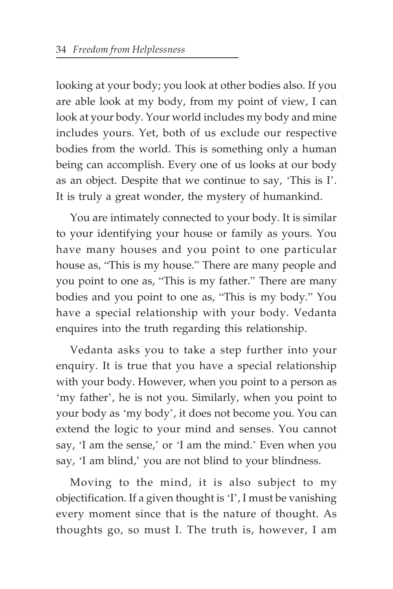looking at your body; you look at other bodies also. If you are able look at my body, from my point of view, I can look at your body. Your world includes my body and mine includes yours. Yet, both of us exclude our respective bodies from the world. This is something only a human being can accomplish. Every one of us looks at our body as an object. Despite that we continue to say, 'This is I'. It is truly a great wonder, the mystery of humankind.

You are intimately connected to your body. It is similar to your identifying your house or family as yours. You have many houses and you point to one particular house as, "This is my house." There are many people and you point to one as, "This is my father." There are many bodies and you point to one as, "This is my body." You have a special relationship with your body. Vedanta enquires into the truth regarding this relationship.

Vedanta asks you to take a step further into your enquiry. It is true that you have a special relationship with your body. However, when you point to a person as 'my father', he is not you. Similarly, when you point to your body as 'my body', it does not become you. You can extend the logic to your mind and senses. You cannot say, 'I am the sense,' or 'I am the mind.' Even when you say, 'I am blind,' you are not blind to your blindness.

Moving to the mind, it is also subject to my objectification. If a given thought is 'I', I must be vanishing every moment since that is the nature of thought. As thoughts go, so must I. The truth is, however, I am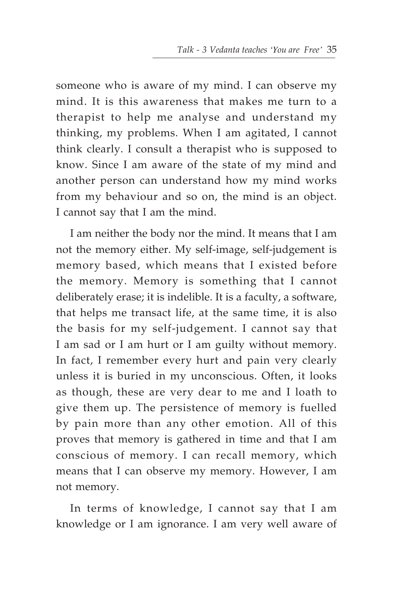someone who is aware of my mind. I can observe my mind. It is this awareness that makes me turn to a therapist to help me analyse and understand my thinking, my problems. When I am agitated, I cannot think clearly. I consult a therapist who is supposed to know. Since I am aware of the state of my mind and another person can understand how my mind works from my behaviour and so on, the mind is an object. I cannot say that I am the mind.

I am neither the body nor the mind. It means that I am not the memory either. My self-image, self-judgement is memory based, which means that I existed before the memory. Memory is something that I cannot deliberately erase; it is indelible. It is a faculty, a software, that helps me transact life, at the same time, it is also the basis for my self-judgement. I cannot say that I am sad or I am hurt or I am guilty without memory. In fact, I remember every hurt and pain very clearly unless it is buried in my unconscious. Often, it looks as though, these are very dear to me and I loath to give them up. The persistence of memory is fuelled by pain more than any other emotion. All of this proves that memory is gathered in time and that I am conscious of memory. I can recall memory, which means that I can observe my memory. However, I am not memory.

In terms of knowledge, I cannot say that I am knowledge or I am ignorance. I am very well aware of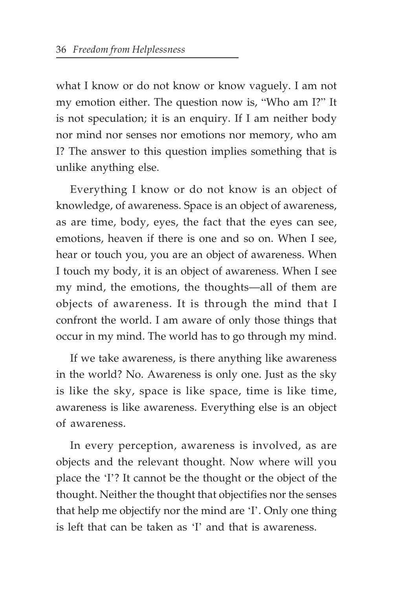what I know or do not know or know vaguely. I am not my emotion either. The question now is, "Who am I?" It is not speculation; it is an enquiry. If I am neither body nor mind nor senses nor emotions nor memory, who am I? The answer to this question implies something that is unlike anything else.

Everything I know or do not know is an object of knowledge, of awareness. Space is an object of awareness, as are time, body, eyes, the fact that the eyes can see, emotions, heaven if there is one and so on. When I see, hear or touch you, you are an object of awareness. When I touch my body, it is an object of awareness. When I see my mind, the emotions, the thoughts—all of them are objects of awareness. It is through the mind that I confront the world. I am aware of only those things that occur in my mind. The world has to go through my mind.

If we take awareness, is there anything like awareness in the world? No. Awareness is only one. Just as the sky is like the sky, space is like space, time is like time, awareness is like awareness. Everything else is an object of awareness.

In every perception, awareness is involved, as are objects and the relevant thought. Now where will you place the 'I'? It cannot be the thought or the object of the thought. Neither the thought that objectifies nor the senses that help me objectify nor the mind are 'I'. Only one thing is left that can be taken as 'I' and that is awareness.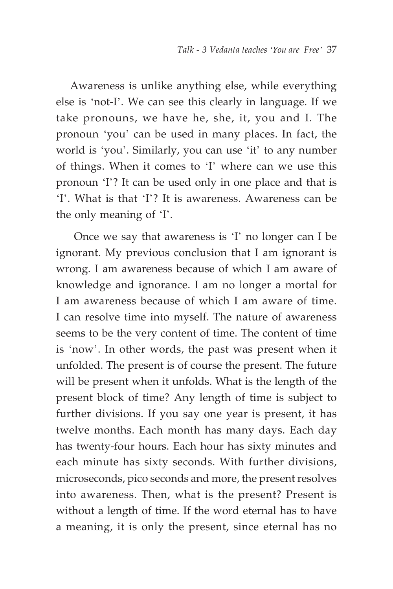Awareness is unlike anything else, while everything else is 'not-I'. We can see this clearly in language. If we take pronouns, we have he, she, it, you and I. The pronoun 'you' can be used in many places. In fact, the world is 'you'. Similarly, you can use 'it' to any number of things. When it comes to 'I' where can we use this pronoun 'I'? It can be used only in one place and that is 'I'. What is that 'I'? It is awareness. Awareness can be the only meaning of 'I'.

 Once we say that awareness is 'I' no longer can I be ignorant. My previous conclusion that I am ignorant is wrong. I am awareness because of which I am aware of knowledge and ignorance. I am no longer a mortal for I am awareness because of which I am aware of time. I can resolve time into myself. The nature of awareness seems to be the very content of time. The content of time is 'now'. In other words, the past was present when it unfolded. The present is of course the present. The future will be present when it unfolds. What is the length of the present block of time? Any length of time is subject to further divisions. If you say one year is present, it has twelve months. Each month has many days. Each day has twenty-four hours. Each hour has sixty minutes and each minute has sixty seconds. With further divisions, microseconds, pico seconds and more, the present resolves into awareness. Then, what is the present? Present is without a length of time. If the word eternal has to have a meaning, it is only the present, since eternal has no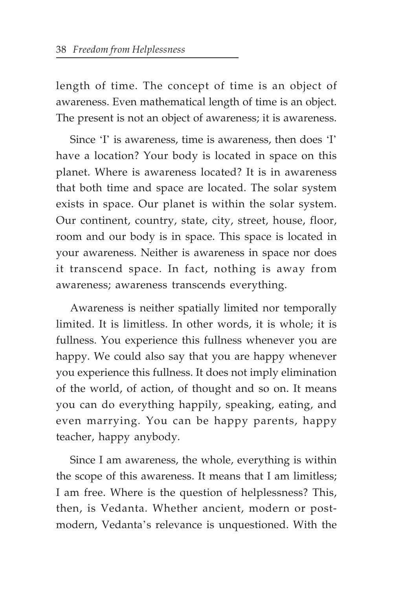length of time. The concept of time is an object of awareness. Even mathematical length of time is an object. The present is not an object of awareness; it is awareness.

Since 'I' is awareness, time is awareness, then does 'I' have a location? Your body is located in space on this planet. Where is awareness located? It is in awareness that both time and space are located. The solar system exists in space. Our planet is within the solar system. Our continent, country, state, city, street, house, floor, room and our body is in space. This space is located in your awareness. Neither is awareness in space nor does it transcend space. In fact, nothing is away from awareness; awareness transcends everything.

Awareness is neither spatially limited nor temporally limited. It is limitless. In other words, it is whole; it is fullness. You experience this fullness whenever you are happy. We could also say that you are happy whenever you experience this fullness. It does not imply elimination of the world, of action, of thought and so on. It means you can do everything happily, speaking, eating, and even marrying. You can be happy parents, happy teacher, happy anybody.

Since I am awareness, the whole, everything is within the scope of this awareness. It means that I am limitless; I am free. Where is the question of helplessness? This, then, is Vedanta. Whether ancient, modern or postmodern, Vedanta's relevance is unquestioned. With the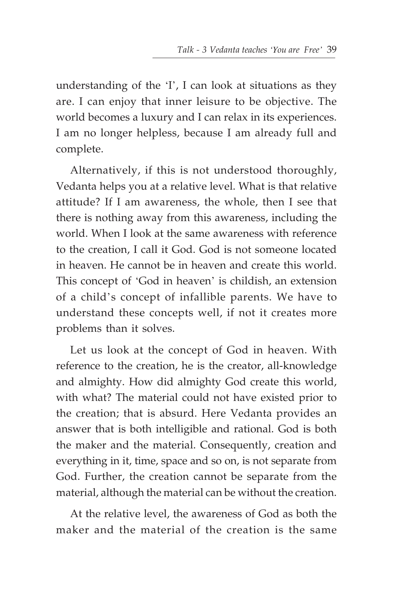understanding of the 'I', I can look at situations as they are. I can enjoy that inner leisure to be objective. The world becomes a luxury and I can relax in its experiences. I am no longer helpless, because I am already full and complete.

Alternatively, if this is not understood thoroughly, Vedanta helps you at a relative level. What is that relative attitude? If I am awareness, the whole, then I see that there is nothing away from this awareness, including the world. When I look at the same awareness with reference to the creation, I call it God. God is not someone located in heaven. He cannot be in heaven and create this world. This concept of 'God in heaven' is childish, an extension of a child's concept of infallible parents. We have to understand these concepts well, if not it creates more problems than it solves.

Let us look at the concept of God in heaven. With reference to the creation, he is the creator, all-knowledge and almighty. How did almighty God create this world, with what? The material could not have existed prior to the creation; that is absurd. Here Vedanta provides an answer that is both intelligible and rational. God is both the maker and the material. Consequently, creation and everything in it, time, space and so on, is not separate from God. Further, the creation cannot be separate from the material, although the material can be without the creation.

At the relative level, the awareness of God as both the maker and the material of the creation is the same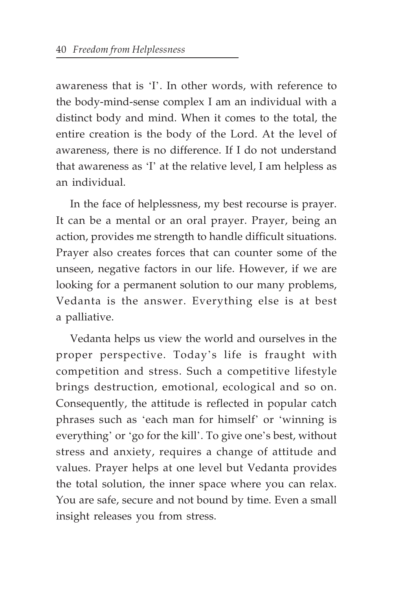awareness that is 'I'. In other words, with reference to the body-mind-sense complex I am an individual with a distinct body and mind. When it comes to the total, the entire creation is the body of the Lord. At the level of awareness, there is no difference. If I do not understand that awareness as 'I' at the relative level, I am helpless as an individual.

In the face of helplessness, my best recourse is prayer. It can be a mental or an oral prayer. Prayer, being an action, provides me strength to handle difficult situations. Prayer also creates forces that can counter some of the unseen, negative factors in our life. However, if we are looking for a permanent solution to our many problems, Vedanta is the answer. Everything else is at best a palliative.

Vedanta helps us view the world and ourselves in the proper perspective. Today's life is fraught with competition and stress. Such a competitive lifestyle brings destruction, emotional, ecological and so on. Consequently, the attitude is reflected in popular catch phrases such as 'each man for himself' or 'winning is everything' or 'go for the kill'. To give one's best, without stress and anxiety, requires a change of attitude and values. Prayer helps at one level but Vedanta provides the total solution, the inner space where you can relax. You are safe, secure and not bound by time. Even a small insight releases you from stress.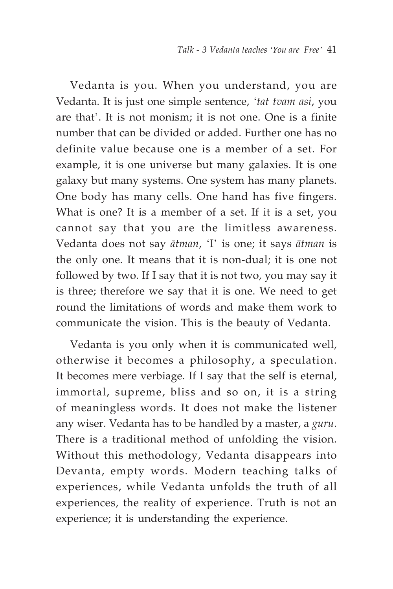Vedanta is you. When you understand, you are Vedanta. It is just one simple sentence, '*tat tvam asi*, you are that'. It is not monism; it is not one. One is a finite number that can be divided or added. Further one has no definite value because one is a member of a set. For example, it is one universe but many galaxies. It is one galaxy but many systems. One system has many planets. One body has many cells. One hand has five fingers. What is one? It is a member of a set. If it is a set, you cannot say that you are the limitless awareness. Vedanta does not say *ätman*, 'I' is one; it says *ätman* is the only one. It means that it is non-dual; it is one not followed by two. If I say that it is not two, you may say it is three; therefore we say that it is one. We need to get round the limitations of words and make them work to communicate the vision. This is the beauty of Vedanta.

Vedanta is you only when it is communicated well, otherwise it becomes a philosophy, a speculation. It becomes mere verbiage. If I say that the self is eternal, immortal, supreme, bliss and so on, it is a string of meaningless words. It does not make the listener any wiser. Vedanta has to be handled by a master, a *guru*. There is a traditional method of unfolding the vision. Without this methodology, Vedanta disappears into Devanta, empty words. Modern teaching talks of experiences, while Vedanta unfolds the truth of all experiences, the reality of experience. Truth is not an experience; it is understanding the experience.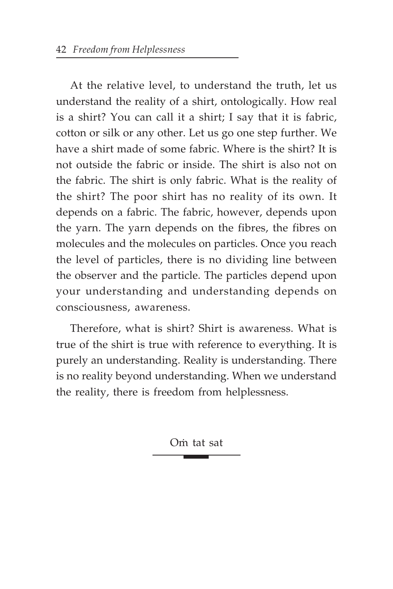At the relative level, to understand the truth, let us understand the reality of a shirt, ontologically. How real is a shirt? You can call it a shirt; I say that it is fabric, cotton or silk or any other. Let us go one step further. We have a shirt made of some fabric. Where is the shirt? It is not outside the fabric or inside. The shirt is also not on the fabric. The shirt is only fabric. What is the reality of the shirt? The poor shirt has no reality of its own. It depends on a fabric. The fabric, however, depends upon the yarn. The yarn depends on the fibres, the fibres on molecules and the molecules on particles. Once you reach the level of particles, there is no dividing line between the observer and the particle. The particles depend upon your understanding and understanding depends on consciousness, awareness.

Therefore, what is shirt? Shirt is awareness. What is true of the shirt is true with reference to everything. It is purely an understanding. Reality is understanding. There is no reality beyond understanding. When we understand the reality, there is freedom from helplessness.

Om tat sat